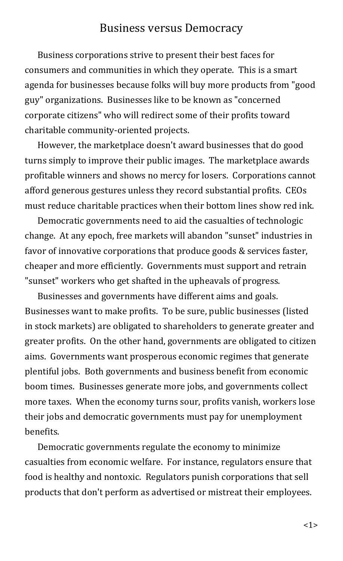## Business versus Democracy

Business corporations strive to present their best faces for consumers and communities in which they operate. This is a smart agenda for businesses because folks will buy more products from "good guy" organizations. Businesses like to be known as "concerned corporate citizens" who will redirect some of their profits toward charitable community-oriented projects.

However, the marketplace doesn't award businesses that do good turns simply to improve their public images. The marketplace awards profitable winners and shows no mercy for losers. Corporations cannot afford generous gestures unless they record substantial profits. CEOs must reduce charitable practices when their bottom lines show red ink.

Democratic governments need to aid the casualties of technologic change. At any epoch, free markets will abandon "sunset" industries in favor of innovative corporations that produce goods & services faster, cheaper and more efficiently. Governments must support and retrain "sunset" workers who get shafted in the upheavals of progress.

Businesses and governments have different aims and goals. Businesses want to make profits. To be sure, public businesses (listed in stock markets) are obligated to shareholders to generate greater and greater profits. On the other hand, governments are obligated to citizen aims. Governments want prosperous economic regimes that generate plentiful jobs. Both governments and business benefit from economic boom times. Businesses generate more jobs, and governments collect more taxes. When the economy turns sour, profits vanish, workers lose their jobs and democratic governments must pay for unemployment benefits.

Democratic governments regulate the economy to minimize casualties from economic welfare. For instance, regulators ensure that food is healthy and nontoxic. Regulators punish corporations that sell products that don't perform as advertised or mistreat their employees.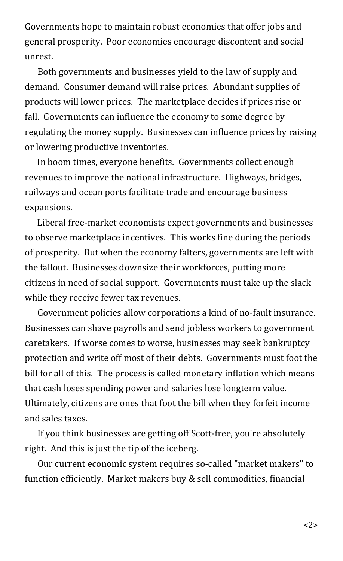Governments hope to maintain robust economies that offer jobs and general prosperity. Poor economies encourage discontent and social unrest.

Both governments and businesses yield to the law of supply and demand. Consumer demand will raise prices. Abundant supplies of products will lower prices. The marketplace decides if prices rise or fall. Governments can influence the economy to some degree by regulating the money supply. Businesses can influence prices by raising or lowering productive inventories.

In boom times, everyone benefits. Governments collect enough revenues to improve the national infrastructure. Highways, bridges, railways and ocean ports facilitate trade and encourage business expansions.

Liberal free-market economists expect governments and businesses to observe marketplace incentives. This works fine during the periods of prosperity. But when the economy falters, governments are left with the fallout. Businesses downsize their workforces, putting more citizens in need of social support. Governments must take up the slack while they receive fewer tax revenues.

Government policies allow corporations a kind of no-fault insurance. Businesses can shave payrolls and send jobless workers to government caretakers. If worse comes to worse, businesses may seek bankruptcy protection and write off most of their debts. Governments must foot the bill for all of this. The process is called monetary inflation which means that cash loses spending power and salaries lose longterm value. Ultimately, citizens are ones that foot the bill when they forfeit income and sales taxes.

If you think businesses are getting off Scott-free, you're absolutely right. And this is just the tip of the iceberg.

Our current economic system requires so-called "market makers" to function efficiently. Market makers buy & sell commodities, financial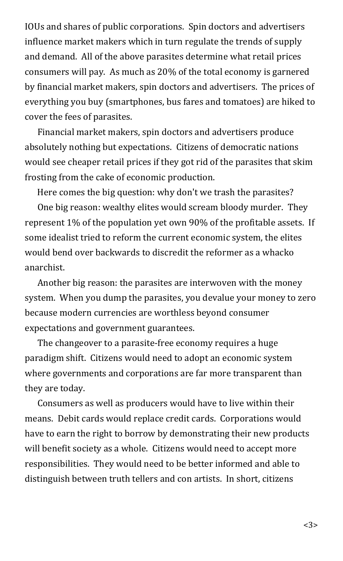IOUs and shares of public corporations. Spin doctors and advertisers influence market makers which in turn regulate the trends of supply and demand. All of the above parasites determine what retail prices consumers will pay. As much as 20% of the total economy is garnered by financial market makers, spin doctors and advertisers. The prices of everything you buy (smartphones, bus fares and tomatoes) are hiked to cover the fees of parasites.

Financial market makers, spin doctors and advertisers produce absolutely nothing but expectations. Citizens of democratic nations would see cheaper retail prices if they got rid of the parasites that skim frosting from the cake of economic production.

Here comes the big question: why don't we trash the parasites?

One big reason: wealthy elites would scream bloody murder. They represent 1% of the population yet own 90% of the profitable assets. If some idealist tried to reform the current economic system, the elites would bend over backwards to discredit the reformer as a whacko anarchist.

Another big reason: the parasites are interwoven with the money system. When you dump the parasites, you devalue your money to zero because modern currencies are worthless beyond consumer expectations and government guarantees.

The changeover to a parasite-free economy requires a huge paradigm shift. Citizens would need to adopt an economic system where governments and corporations are far more transparent than they are today.

Consumers as well as producers would have to live within their means. Debit cards would replace credit cards. Corporations would have to earn the right to borrow by demonstrating their new products will benefit society as a whole. Citizens would need to accept more responsibilities. They would need to be better informed and able to distinguish between truth tellers and con artists. In short, citizens